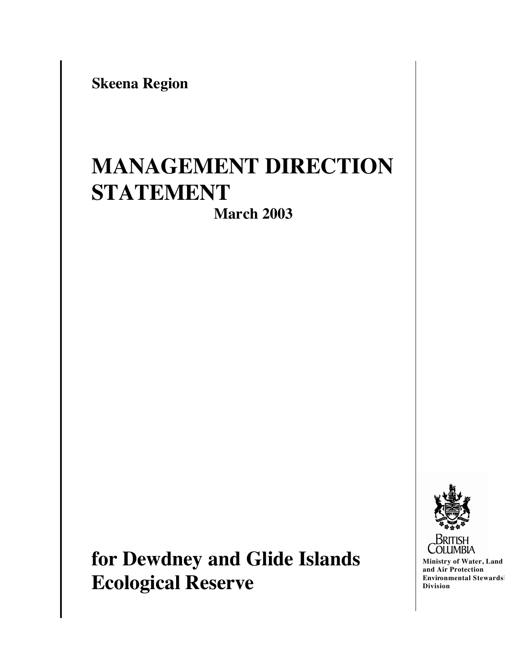**Skeena Region**

# **MANAGEMENT DIRECTION STATEMENT**

**March 2003**

**for Dewdney and Glide Islands Ecological Reserve**



**Ministry of Water, Land and Air Protection Environmental Stewards Division**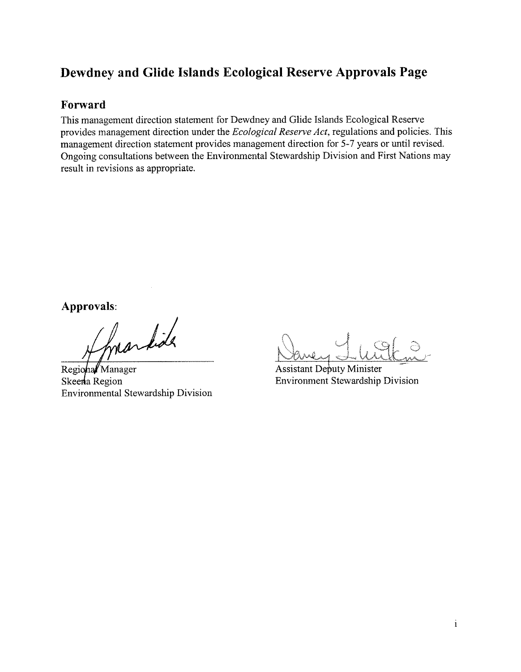# Dewdney and Glide Islands Ecological Reserve Approvals Page

#### Forward

This management direction statement for Dewdney and Glide Islands Ecological Reserve provides management direction under the Ecological Reserve Act, regulations and policies. This management direction statement provides management direction for 5-7 years or until revised. Ongoing consultations between the Environmental Stewardship Division and First Nations may result in revisions as appropriate.

Approvals:

markid

Regional Manager Skeena Region **Environmental Stewardship Division** 

**Assistant Deputy Minister Environment Stewardship Division**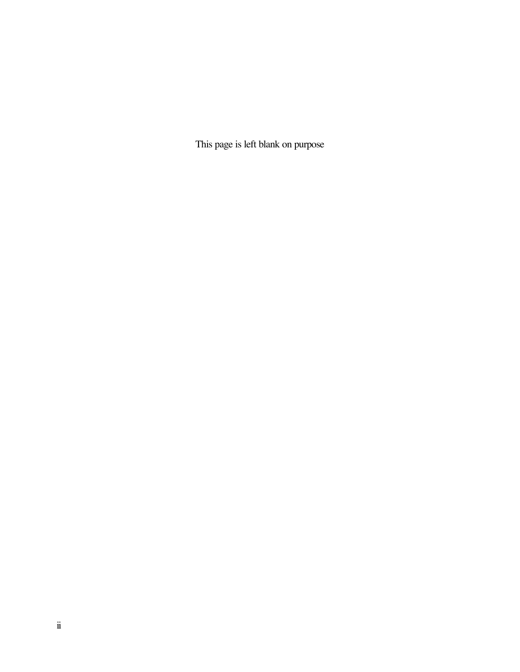This page is left blank on purpose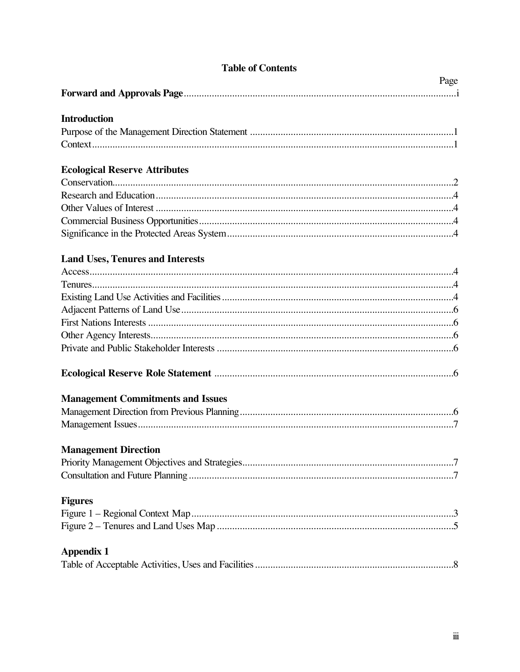# **Table of Contents**

| <b>Introduction</b>                      |
|------------------------------------------|
|                                          |
|                                          |
| <b>Ecological Reserve Attributes</b>     |
|                                          |
|                                          |
|                                          |
|                                          |
|                                          |
| <b>Land Uses, Tenures and Interests</b>  |
|                                          |
|                                          |
|                                          |
|                                          |
|                                          |
|                                          |
|                                          |
|                                          |
| <b>Management Commitments and Issues</b> |
|                                          |
|                                          |
| <b>Management Direction</b>              |
|                                          |
|                                          |
| <b>Figures</b>                           |
|                                          |
|                                          |
| <b>Appendix 1</b>                        |
|                                          |

Page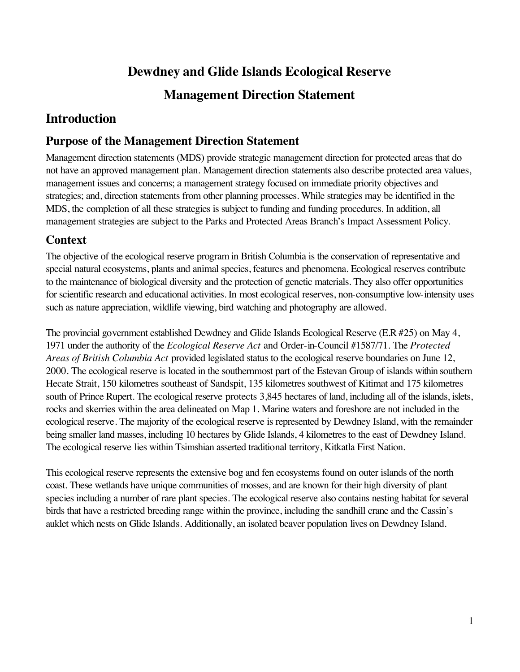# **Dewdney and Glide Islands Ecological Reserve**

# **Management Direction Statement**

# **Introduction**

# **Purpose of the Management Direction Statement**

Management direction statements (MDS) provide strategic management direction for protected areas that do not have an approved management plan. Management direction statements also describe protected area values, management issues and concerns; a management strategy focused on immediate priority objectives and strategies; and, direction statements from other planning processes. While strategies may be identified in the MDS, the completion of all these strategies is subject to funding and funding procedures. In addition, all management strategies are subject to the Parks and Protected Areas Branch's Impact Assessment Policy.

# **Context**

The objective of the ecological reserve program in British Columbia is the conservation of representative and special natural ecosystems, plants and animal species, features and phenomena. Ecological reserves contribute to the maintenance of biological diversity and the protection of genetic materials. They also offer opportunities for scientific research and educational activities. In most ecological reserves, non-consumptive low-intensity uses such as nature appreciation, wildlife viewing, bird watching and photography are allowed.

The provincial government established Dewdney and Glide Islands Ecological Reserve (E.R #25) on May 4, 1971 under the authority of the *Ecological Reserve Act* and Order-in-Council #1587/71. The *Protected Areas of British Columbia Act* provided legislated status to the ecological reserve boundaries on June 12, 2000. The ecological reserve is located in the southernmost part of the Estevan Group of islands within southern Hecate Strait, 150 kilometres southeast of Sandspit, 135 kilometres southwest of Kitimat and 175 kilometres south of Prince Rupert. The ecological reserve protects 3,845 hectares of land, including all of the islands, islets, rocks and skerries within the area delineated on Map 1. Marine waters and foreshore are not included in the ecological reserve. The majority of the ecological reserve is represented by Dewdney Island, with the remainder being smaller land masses, including 10 hectares by Glide Islands, 4 kilometres to the east of Dewdney Island. The ecological reserve lies within Tsimshian asserted traditional territory, Kitkatla First Nation.

This ecological reserve represents the extensive bog and fen ecosystems found on outer islands of the north coast. These wetlands have unique communities of mosses, and are known for their high diversity of plant species including a number of rare plant species. The ecological reserve also contains nesting habitat for several birds that have a restricted breeding range within the province, including the sandhill crane and the Cassin's auklet which nests on Glide Islands. Additionally, an isolated beaver population lives on Dewdney Island.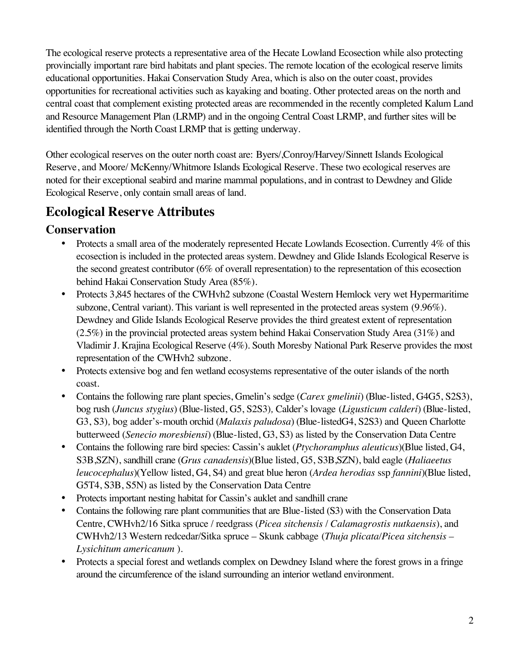The ecological reserve protects a representative area of the Hecate Lowland Ecosection while also protecting provincially important rare bird habitats and plant species. The remote location of the ecological reserve limits educational opportunities. Hakai Conservation Study Area, which is also on the outer coast, provides opportunities for recreational activities such as kayaking and boating. Other protected areas on the north and central coast that complement existing protected areas are recommended in the recently completed Kalum Land and Resource Management Plan (LRMP) and in the ongoing Central Coast LRMP, and further sites will be identified through the North Coast LRMP that is getting underway.

Other ecological reserves on the outer north coast are: Byers/,Conroy/Harvey/Sinnett Islands Ecological Reserve, and Moore/ McKenny/Whitmore Islands Ecological Reserve. These two ecological reserves are noted for their exceptional seabird and marine mammal populations, and in contrast to Dewdney and Glide Ecological Reserve, only contain small areas of land.

# **Ecological Reserve Attributes**

# **Conservation**

- Protects a small area of the moderately represented Hecate Lowlands Ecosection. Currently 4% of this ecosection is included in the protected areas system. Dewdney and Glide Islands Ecological Reserve is the second greatest contributor (6% of overall representation) to the representation of this ecosection behind Hakai Conservation Study Area (85%).
- Protects 3,845 hectares of the CWHvh2 subzone (Coastal Western Hemlock very wet Hypermaritime subzone, Central variant). This variant is well represented in the protected areas system (9.96%). Dewdney and Glide Islands Ecological Reserve provides the third greatest extent of representation (2.5%) in the provincial protected areas system behind Hakai Conservation Study Area (31%) and Vladimir J. Krajina Ecological Reserve (4%). South Moresby National Park Reserve provides the most representation of the CWHvh2 subzone.
- Protects extensive bog and fen wetland ecosystems representative of the outer islands of the north coast.
- Contains the following rare plant species, Gmelin's sedge (*Carex gmelinii*) (Blue-listed, G4G5, S2S3), bog rush (*Juncus stygius*) (Blue-listed, G5, S2S3)*,* Calder's lovage (*Ligusticum calderi*) (Blue-listed, G3, S3)*,* bog adder's-mouth orchid (*Malaxis paludosa*) (Blue-listedG4, S2S3) and Queen Charlotte butterweed (*Senecio moresbiensi*) (Blue-listed, G3, S3) as listed by the Conservation Data Centre
- Contains the following rare bird species: Cassin's auklet (*Ptychoramphus aleuticus*)(Blue listed, G4, S3B,SZN), sandhill crane (*Grus canadensis*)(Blue listed, G5, S3B,SZN), bald eagle (*Haliaeetus leucocephalus*)(Yellow listed, G4, S4) and great blue heron (*Ardea herodias* ssp *fannini*)(Blue listed, G5T4, S3B, S5N) as listed by the Conservation Data Centre
- Protects important nesting habitat for Cassin's auklet and sandhill crane
- Contains the following rare plant communities that are Blue-listed (S3) with the Conservation Data Centre, CWHvh2/16 Sitka spruce / reedgrass (*Picea sitchensis* / *Calamagrostis nutkaensis*), and CWHvh2/13 Western redcedar/Sitka spruce – Skunk cabbage (*Thuja plicata/Picea sitchensis – Lysichitum americanum* ).
- Protects a special forest and wetlands complex on Dewdney Island where the forest grows in a fringe around the circumference of the island surrounding an interior wetland environment.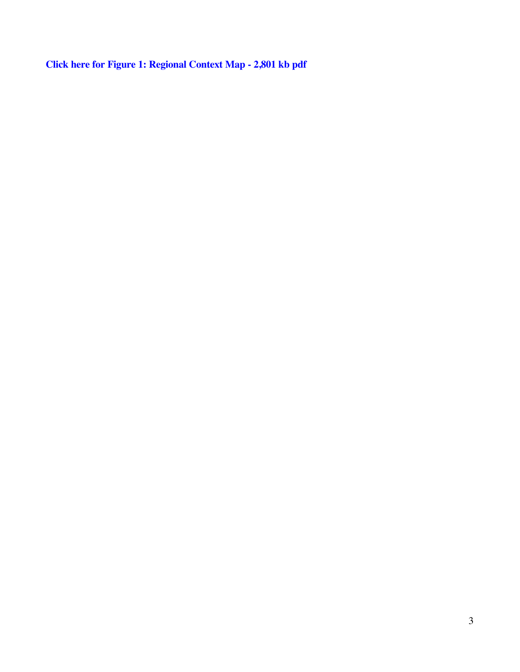**[Click here for Figure 1: Regional Context Map - 2,801 kb pdf](dewd_loc.pdf)**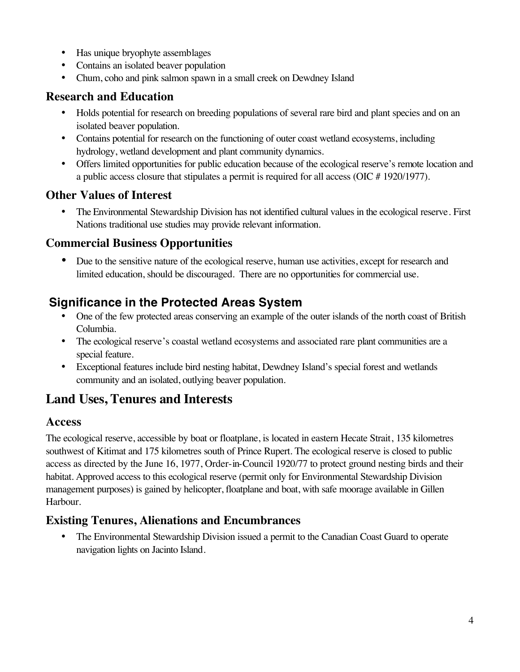- Has unique bryophyte assemblages
- Contains an isolated beaver population
- Chum, coho and pink salmon spawn in a small creek on Dewdney Island

## **Research and Education**

- Holds potential for research on breeding populations of several rare bird and plant species and on an isolated beaver population.
- Contains potential for research on the functioning of outer coast wetland ecosystems, including hydrology, wetland development and plant community dynamics.
- Offers limited opportunities for public education because of the ecological reserve's remote location and a public access closure that stipulates a permit is required for all access (OIC # 1920/1977).

## **Other Values of Interest**

• The Environmental Stewardship Division has not identified cultural values in the ecological reserve. First Nations traditional use studies may provide relevant information.

## **Commercial Business Opportunities**

• Due to the sensitive nature of the ecological reserve, human use activities, except for research and limited education, should be discouraged. There are no opportunities for commercial use.

# **Significance in the Protected Areas System**

- One of the few protected areas conserving an example of the outer islands of the north coast of British Columbia.
- The ecological reserve's coastal wetland ecosystems and associated rare plant communities are a special feature.
- Exceptional features include bird nesting habitat, Dewdney Island's special forest and wetlands community and an isolated, outlying beaver population.

# **Land Uses, Tenures and Interests**

#### **Access**

The ecological reserve, accessible by boat or floatplane, is located in eastern Hecate Strait, 135 kilometres southwest of Kitimat and 175 kilometres south of Prince Rupert. The ecological reserve is closed to public access as directed by the June 16, 1977, Order-in-Council 1920/77 to protect ground nesting birds and their habitat. Approved access to this ecological reserve (permit only for Environmental Stewardship Division management purposes) is gained by helicopter, floatplane and boat, with safe moorage available in Gillen Harbour.

## **Existing Tenures, Alienations and Encumbrances**

• The Environmental Stewardship Division issued a permit to the Canadian Coast Guard to operate navigation lights on Jacinto Island.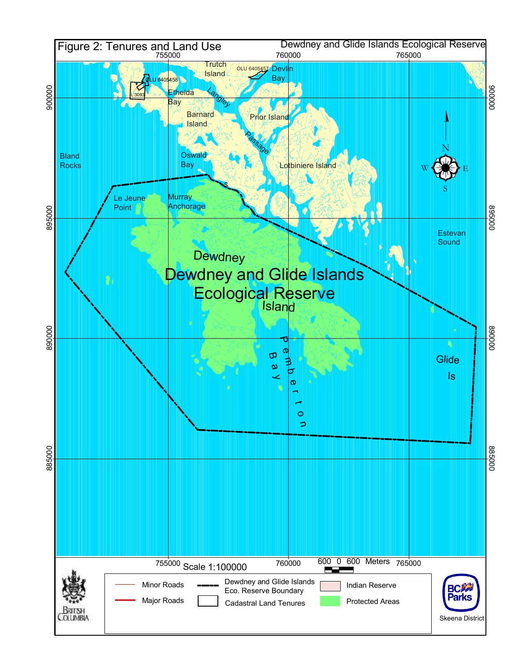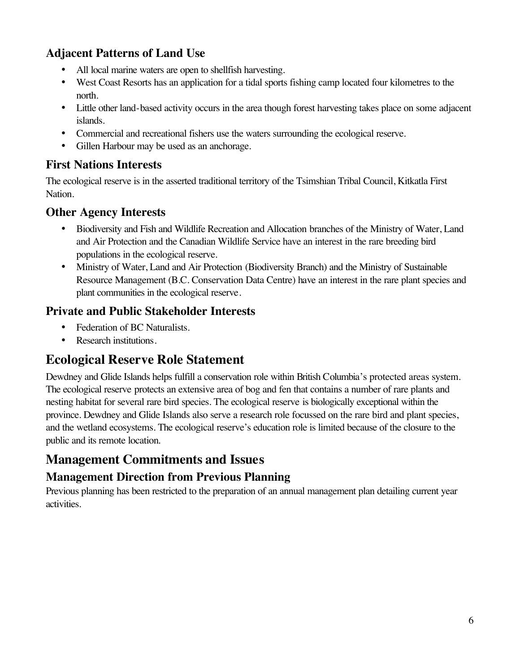# **Adjacent Patterns of Land Use**

- All local marine waters are open to shellfish harvesting.
- West Coast Resorts has an application for a tidal sports fishing camp located four kilometres to the north.
- Little other land-based activity occurs in the area though forest harvesting takes place on some adjacent islands.
- Commercial and recreational fishers use the waters surrounding the ecological reserve.
- Gillen Harbour may be used as an anchorage.

## **First Nations Interests**

The ecological reserve is in the asserted traditional territory of the Tsimshian Tribal Council, Kitkatla First Nation.

## **Other Agency Interests**

- Biodiversity and Fish and Wildlife Recreation and Allocation branches of the Ministry of Water, Land and Air Protection and the Canadian Wildlife Service have an interest in the rare breeding bird populations in the ecological reserve.
- Ministry of Water, Land and Air Protection (Biodiversity Branch) and the Ministry of Sustainable Resource Management (B.C. Conservation Data Centre) have an interest in the rare plant species and plant communities in the ecological reserve.

## **Private and Public Stakeholder Interests**

- Federation of BC Naturalists.
- Research institutions.

# **Ecological Reserve Role Statement**

Dewdney and Glide Islands helps fulfill a conservation role within British Columbia's protected areas system. The ecological reserve protects an extensive area of bog and fen that contains a number of rare plants and nesting habitat for several rare bird species. The ecological reserve is biologically exceptional within the province. Dewdney and Glide Islands also serve a research role focussed on the rare bird and plant species, and the wetland ecosystems. The ecological reserve's education role is limited because of the closure to the public and its remote location.

# **Management Commitments and Issues**

# **Management Direction from Previous Planning**

Previous planning has been restricted to the preparation of an annual management plan detailing current year activities.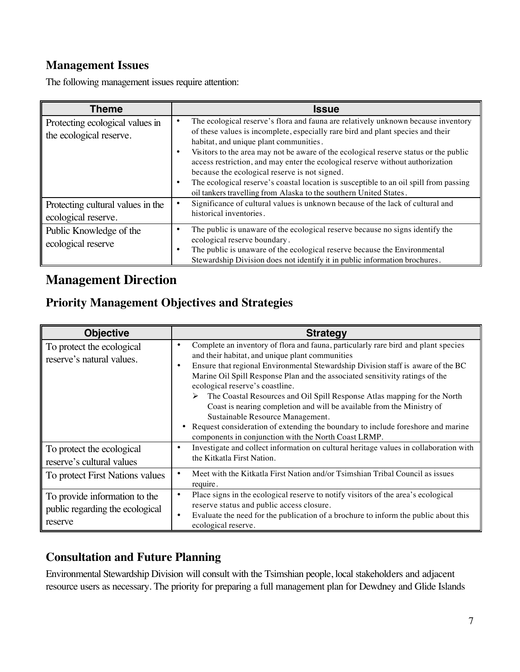## **Management Issues**

The following management issues require attention:

| <b>Theme</b>                                               | <b>Issue</b>                                                                                                                                                                                                                                                                                                                                                                                                                                                                                                                                                                                                 |  |
|------------------------------------------------------------|--------------------------------------------------------------------------------------------------------------------------------------------------------------------------------------------------------------------------------------------------------------------------------------------------------------------------------------------------------------------------------------------------------------------------------------------------------------------------------------------------------------------------------------------------------------------------------------------------------------|--|
| Protecting ecological values in<br>the ecological reserve. | The ecological reserve's flora and fauna are relatively unknown because inventory<br>of these values is incomplete, especially rare bird and plant species and their<br>habitat, and unique plant communities.<br>Visitors to the area may not be aware of the ecological reserve status or the public<br>٠<br>access restriction, and may enter the ecological reserve without authorization<br>because the ecological reserve is not signed.<br>The ecological reserve's coastal location is susceptible to an oil spill from passing<br>oil tankers travelling from Alaska to the southern United States. |  |
| Protecting cultural values in the<br>ecological reserve.   | Significance of cultural values is unknown because of the lack of cultural and<br>historical inventories.                                                                                                                                                                                                                                                                                                                                                                                                                                                                                                    |  |
| Public Knowledge of the<br>ecological reserve              | The public is unaware of the ecological reserve because no signs identify the<br>٠<br>ecological reserve boundary.<br>The public is unaware of the ecological reserve because the Environmental<br>Stewardship Division does not identify it in public information brochures.                                                                                                                                                                                                                                                                                                                                |  |

# **Management Direction**

# **Priority Management Objectives and Strategies**

| <b>Objective</b>                                                            | <b>Strategy</b>                                                                                                                                                                                                                                                                                                                                                                                                                                                                                                                                                                                                                                                                                                  |  |
|-----------------------------------------------------------------------------|------------------------------------------------------------------------------------------------------------------------------------------------------------------------------------------------------------------------------------------------------------------------------------------------------------------------------------------------------------------------------------------------------------------------------------------------------------------------------------------------------------------------------------------------------------------------------------------------------------------------------------------------------------------------------------------------------------------|--|
| To protect the ecological<br>reserve's natural values.                      | Complete an inventory of flora and fauna, particularly rare bird and plant species<br>$\bullet$<br>and their habitat, and unique plant communities<br>Ensure that regional Environmental Stewardship Division staff is aware of the BC<br>$\bullet$<br>Marine Oil Spill Response Plan and the associated sensitivity ratings of the<br>ecological reserve's coastline.<br>The Coastal Resources and Oil Spill Response Atlas mapping for the North<br>➤<br>Coast is nearing completion and will be available from the Ministry of<br>Sustainable Resource Management.<br>Request consideration of extending the boundary to include foreshore and marine<br>components in conjunction with the North Coast LRMP. |  |
| To protect the ecological<br>reserve's cultural values                      | Investigate and collect information on cultural heritage values in collaboration with<br>the Kitkatla First Nation.                                                                                                                                                                                                                                                                                                                                                                                                                                                                                                                                                                                              |  |
| To protect First Nations values                                             | Meet with the Kitkatla First Nation and/or Tsimshian Tribal Council as issues<br>require.                                                                                                                                                                                                                                                                                                                                                                                                                                                                                                                                                                                                                        |  |
| To provide information to the<br>public regarding the ecological<br>reserve | Place signs in the ecological reserve to notify visitors of the area's ecological<br>$\bullet$<br>reserve status and public access closure.<br>Evaluate the need for the publication of a brochure to inform the public about this<br>$\bullet$<br>ecological reserve.                                                                                                                                                                                                                                                                                                                                                                                                                                           |  |

# **Consultation and Future Planning**

Environmental Stewardship Division will consult with the Tsimshian people, local stakeholders and adjacent resource users as necessary. The priority for preparing a full management plan for Dewdney and Glide Islands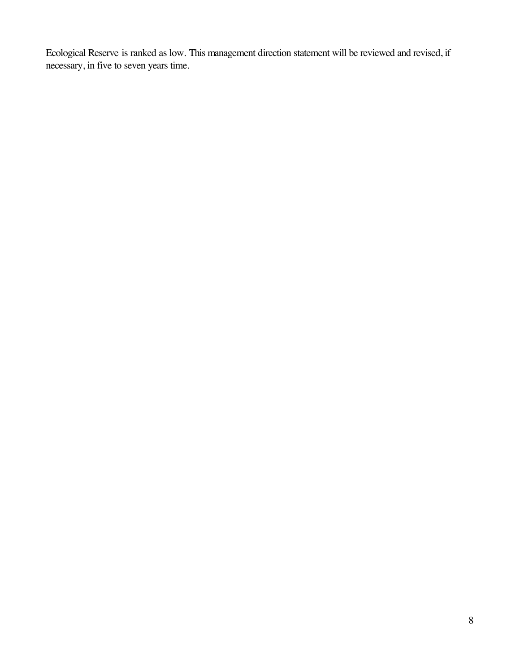Ecological Reserve is ranked as low. This management direction statement will be reviewed and revised, if necessary, in five to seven years time.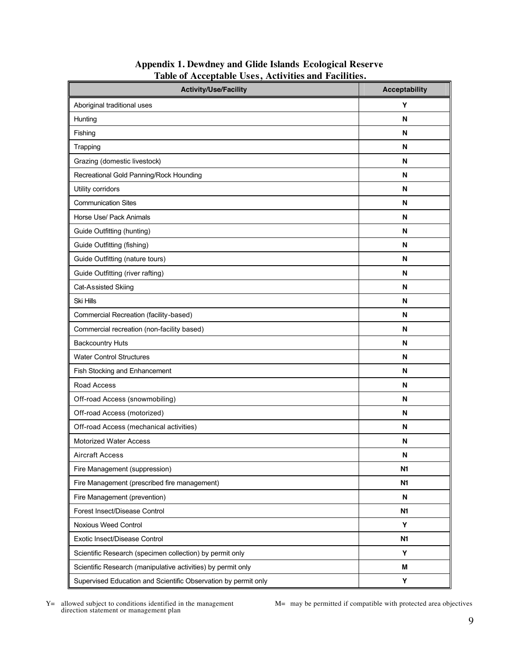| <b>Activity/Use/Facility</b>                                   | <b>Acceptability</b> |
|----------------------------------------------------------------|----------------------|
| Aboriginal traditional uses                                    | Y                    |
| Hunting                                                        | N                    |
| Fishing                                                        | N                    |
| Trapping                                                       | N                    |
| Grazing (domestic livestock)                                   | N                    |
| Recreational Gold Panning/Rock Hounding                        | N                    |
| Utility corridors                                              | N                    |
| <b>Communication Sites</b>                                     | N                    |
| Horse Use/ Pack Animals                                        | N                    |
| Guide Outfitting (hunting)                                     | N                    |
| Guide Outfitting (fishing)                                     | N                    |
| Guide Outfitting (nature tours)                                | N                    |
| Guide Outfitting (river rafting)                               | N                    |
| Cat-Assisted Skiing                                            | N                    |
| <b>Ski Hills</b>                                               | N                    |
| Commercial Recreation (facility-based)                         | N                    |
| Commercial recreation (non-facility based)                     | N                    |
| <b>Backcountry Huts</b>                                        | N                    |
| <b>Water Control Structures</b>                                | N                    |
| Fish Stocking and Enhancement                                  | N                    |
| Road Access                                                    | N                    |
| Off-road Access (snowmobiling)                                 | N                    |
| Off-road Access (motorized)                                    | N                    |
| Off-road Access (mechanical activities)                        | N                    |
| <b>Motorized Water Access</b>                                  | N                    |
| <b>Aircraft Access</b>                                         | N                    |
| Fire Management (suppression)                                  | N <sub>1</sub>       |
| Fire Management (prescribed fire management)                   | N <sub>1</sub>       |
| Fire Management (prevention)                                   | N                    |
| Forest Insect/Disease Control                                  | N <sub>1</sub>       |
| Noxious Weed Control                                           | Υ                    |
| Exotic Insect/Disease Control                                  | N <sub>1</sub>       |
| Scientific Research (specimen collection) by permit only       | Υ                    |
| Scientific Research (manipulative activities) by permit only   | M                    |
| Supervised Education and Scientific Observation by permit only | Υ                    |

#### **Appendix 1. Dewdney and Glide Islands Ecological Reserve Table of Acceptable Uses, Activities and Facilities.**

Y= allowed subject to conditions identified in the management direction statement or management plan

M= may be permitted if compatible with protected area objectives